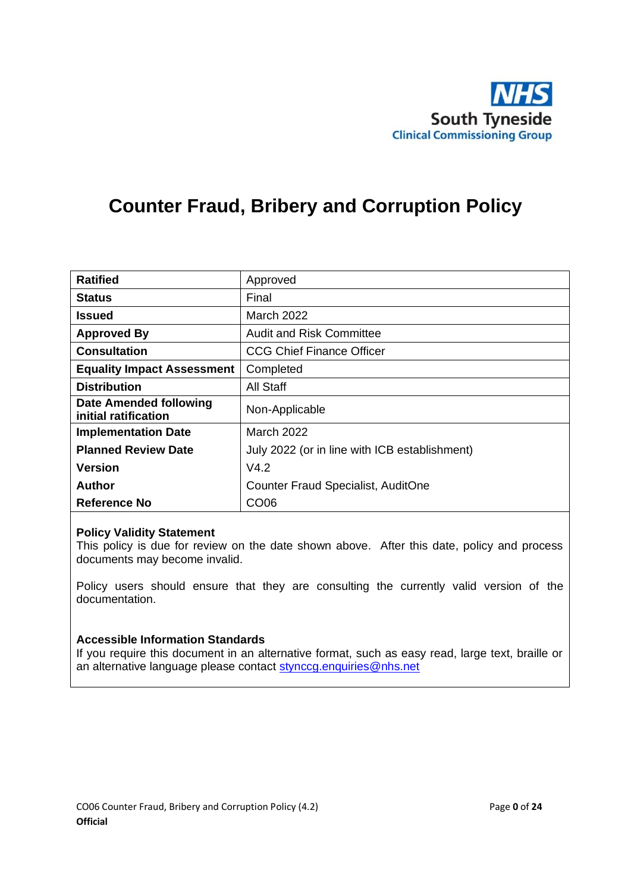

# **Counter Fraud, Bribery and Corruption Policy**

| <b>Ratified</b>                                       | Approved                                      |
|-------------------------------------------------------|-----------------------------------------------|
| <b>Status</b>                                         | Final                                         |
| <b>Issued</b>                                         | <b>March 2022</b>                             |
| <b>Approved By</b>                                    | <b>Audit and Risk Committee</b>               |
| <b>Consultation</b>                                   | <b>CCG Chief Finance Officer</b>              |
| <b>Equality Impact Assessment</b>                     | Completed                                     |
| <b>Distribution</b>                                   | <b>All Staff</b>                              |
| <b>Date Amended following</b><br>initial ratification | Non-Applicable                                |
| <b>Implementation Date</b>                            | March 2022                                    |
| <b>Planned Review Date</b>                            | July 2022 (or in line with ICB establishment) |
| <b>Version</b>                                        | V4.2                                          |
| <b>Author</b>                                         | <b>Counter Fraud Specialist, AuditOne</b>     |
| Reference No                                          | CO <sub>06</sub>                              |

#### **Policy Validity Statement**

This policy is due for review on the date shown above. After this date, policy and process documents may become invalid.

Policy users should ensure that they are consulting the currently valid version of the documentation.

#### **Accessible Information Standards**

If you require this document in an alternative format, such as easy read, large text, braille or an alternative language please contact [stynccg.enquiries@nhs.net](mailto:stynccg.enquiries@nhs.net)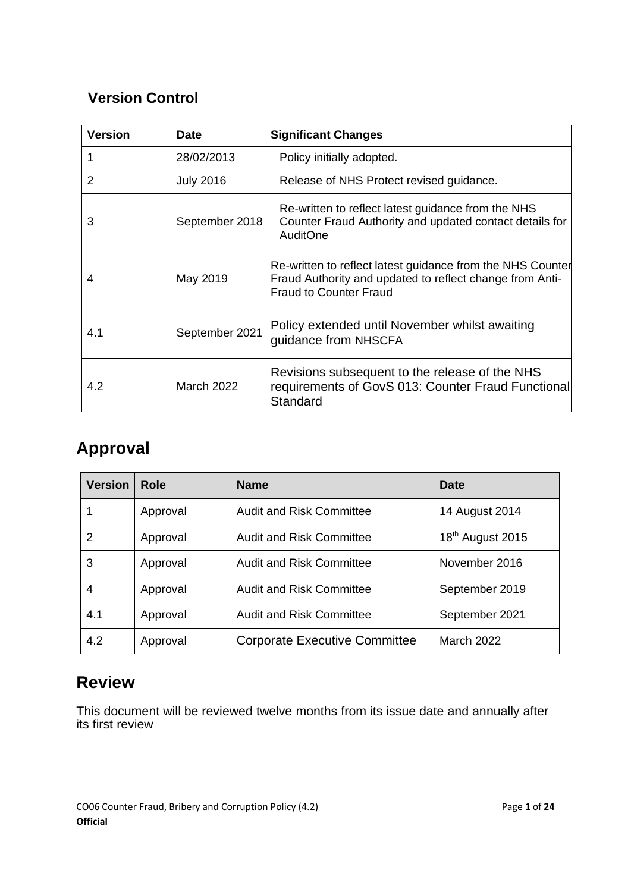# **Version Control**

| <b>Version</b> | <b>Date</b>       | <b>Significant Changes</b>                                                                                                                              |
|----------------|-------------------|---------------------------------------------------------------------------------------------------------------------------------------------------------|
|                | 28/02/2013        | Policy initially adopted.                                                                                                                               |
| 2              | <b>July 2016</b>  | Release of NHS Protect revised guidance.                                                                                                                |
| 3              | September 2018    | Re-written to reflect latest guidance from the NHS<br>Counter Fraud Authority and updated contact details for<br><b>AuditOne</b>                        |
| 4              | May 2019          | Re-written to reflect latest guidance from the NHS Counter<br>Fraud Authority and updated to reflect change from Anti-<br><b>Fraud to Counter Fraud</b> |
| 4.1            | September 2021    | Policy extended until November whilst awaiting<br>guidance from NHSCFA                                                                                  |
| 4.2            | <b>March 2022</b> | Revisions subsequent to the release of the NHS<br>requirements of GovS 013: Counter Fraud Functional<br>Standard                                        |

# **Approval**

| <b>Version</b> | Role     | <b>Name</b>                          | Date                         |
|----------------|----------|--------------------------------------|------------------------------|
|                | Approval | <b>Audit and Risk Committee</b>      | 14 August 2014               |
| 2              | Approval | <b>Audit and Risk Committee</b>      | 18 <sup>th</sup> August 2015 |
| 3              | Approval | <b>Audit and Risk Committee</b>      | November 2016                |
| 4              | Approval | <b>Audit and Risk Committee</b>      | September 2019               |
| 4.1            | Approval | <b>Audit and Risk Committee</b>      | September 2021               |
| 4.2            | Approval | <b>Corporate Executive Committee</b> | <b>March 2022</b>            |

# **Review**

This document will be reviewed twelve months from its issue date and annually after its first review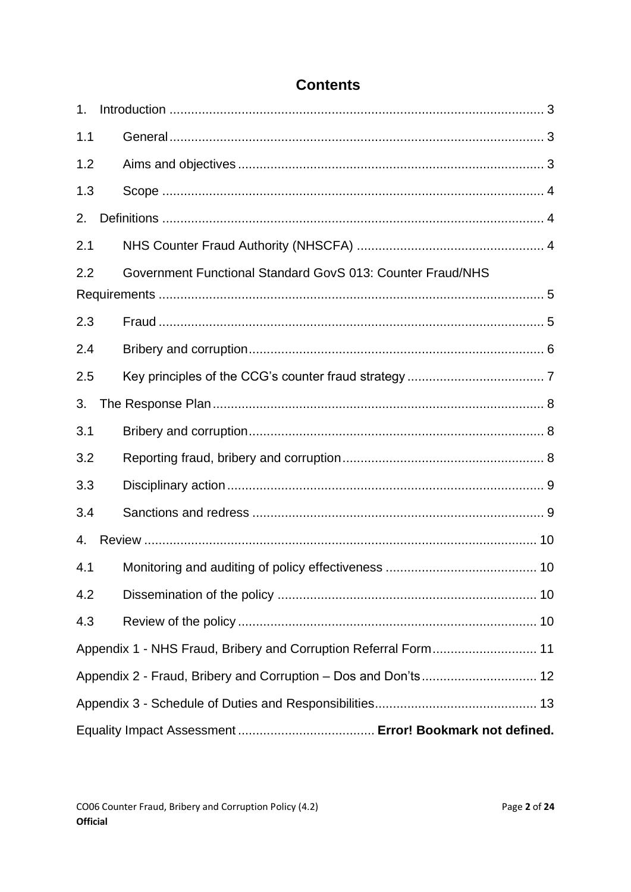| 1 <sub>1</sub> |                                                                 |  |
|----------------|-----------------------------------------------------------------|--|
| 1.1            |                                                                 |  |
| 1.2            |                                                                 |  |
| 1.3            |                                                                 |  |
| 2.             |                                                                 |  |
| 2.1            |                                                                 |  |
| 2.2            | Government Functional Standard GovS 013: Counter Fraud/NHS      |  |
|                |                                                                 |  |
| 2.3            |                                                                 |  |
| 2.4            |                                                                 |  |
| 2.5            |                                                                 |  |
| 3.             |                                                                 |  |
| 3.1            |                                                                 |  |
| 3.2            |                                                                 |  |
| 3.3            |                                                                 |  |
| 3.4            |                                                                 |  |
| 4.             |                                                                 |  |
| 4.1            |                                                                 |  |
| 4.2            |                                                                 |  |
| 4.3            |                                                                 |  |
|                | Appendix 1 - NHS Fraud, Bribery and Corruption Referral Form 11 |  |
|                | Appendix 2 - Fraud, Bribery and Corruption - Dos and Don'ts 12  |  |
|                |                                                                 |  |
|                |                                                                 |  |

# **Contents**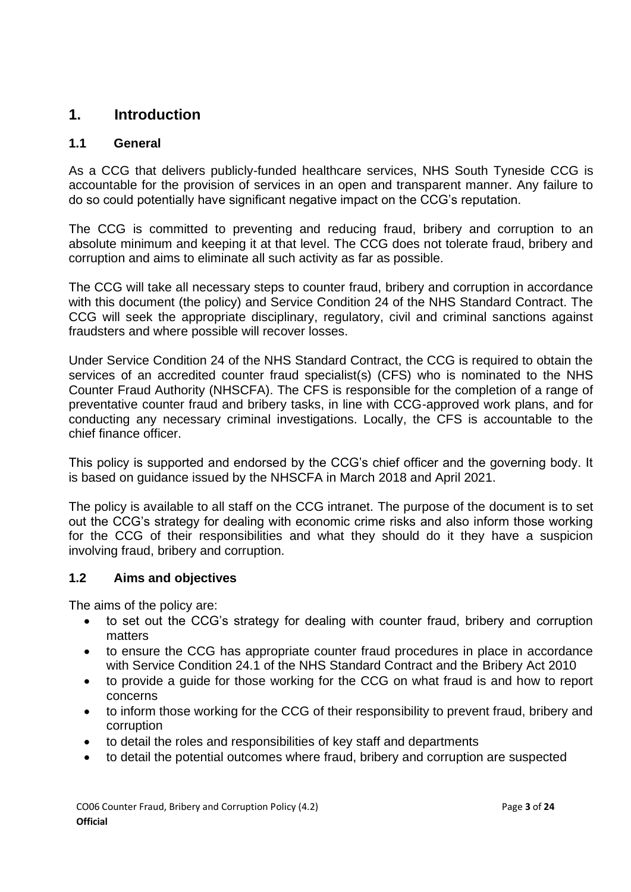## <span id="page-3-0"></span>**1. Introduction**

### <span id="page-3-1"></span>**1.1 General**

As a CCG that delivers publicly-funded healthcare services, NHS South Tyneside CCG is accountable for the provision of services in an open and transparent manner. Any failure to do so could potentially have significant negative impact on the CCG's reputation.

The CCG is committed to preventing and reducing fraud, bribery and corruption to an absolute minimum and keeping it at that level. The CCG does not tolerate fraud, bribery and corruption and aims to eliminate all such activity as far as possible.

The CCG will take all necessary steps to counter fraud, bribery and corruption in accordance with this document (the policy) and Service Condition 24 of the NHS Standard Contract. The CCG will seek the appropriate disciplinary, regulatory, civil and criminal sanctions against fraudsters and where possible will recover losses.

Under Service Condition 24 of the NHS Standard Contract, the CCG is required to obtain the services of an accredited counter fraud specialist(s) (CFS) who is nominated to the NHS Counter Fraud Authority (NHSCFA). The CFS is responsible for the completion of a range of preventative counter fraud and bribery tasks, in line with CCG-approved work plans, and for conducting any necessary criminal investigations. Locally, the CFS is accountable to the chief finance officer.

This policy is supported and endorsed by the CCG's chief officer and the governing body. It is based on guidance issued by the NHSCFA in March 2018 and April 2021.

The policy is available to all staff on the CCG intranet. The purpose of the document is to set out the CCG's strategy for dealing with economic crime risks and also inform those working for the CCG of their responsibilities and what they should do it they have a suspicion involving fraud, bribery and corruption.

#### <span id="page-3-2"></span>**1.2 Aims and objectives**

The aims of the policy are:

- to set out the CCG's strategy for dealing with counter fraud, bribery and corruption matters
- to ensure the CCG has appropriate counter fraud procedures in place in accordance with Service Condition 24.1 of the NHS Standard Contract and the Bribery Act 2010
- to provide a guide for those working for the CCG on what fraud is and how to report concerns
- to inform those working for the CCG of their responsibility to prevent fraud, bribery and corruption
- to detail the roles and responsibilities of key staff and departments
- to detail the potential outcomes where fraud, bribery and corruption are suspected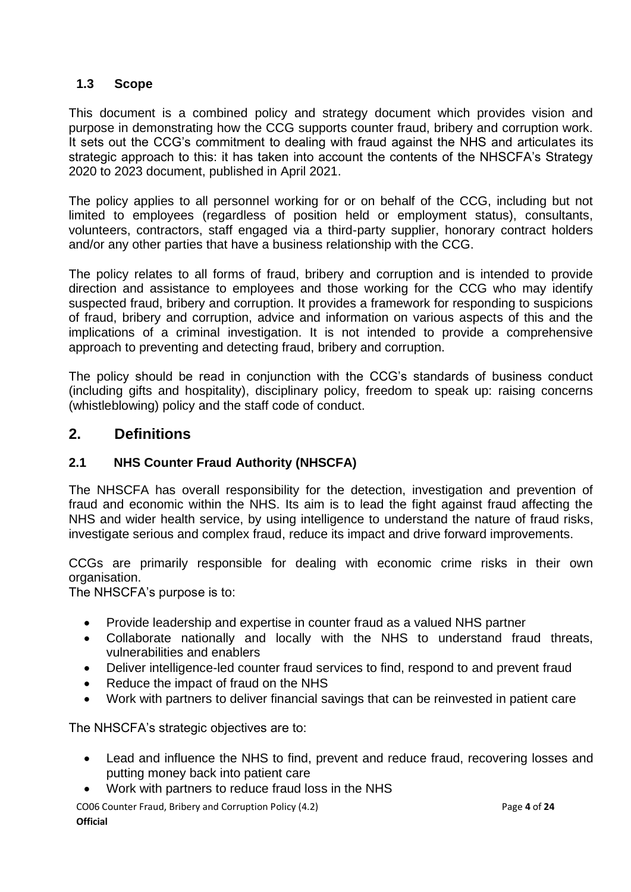#### <span id="page-4-0"></span>**1.3 Scope**

This document is a combined policy and strategy document which provides vision and purpose in demonstrating how the CCG supports counter fraud, bribery and corruption work. It sets out the CCG's commitment to dealing with fraud against the NHS and articulates its strategic approach to this: it has taken into account the contents of the NHSCFA's Strategy 2020 to 2023 document, published in April 2021.

The policy applies to all personnel working for or on behalf of the CCG, including but not limited to employees (regardless of position held or employment status), consultants, volunteers, contractors, staff engaged via a third-party supplier, honorary contract holders and/or any other parties that have a business relationship with the CCG.

The policy relates to all forms of fraud, bribery and corruption and is intended to provide direction and assistance to employees and those working for the CCG who may identify suspected fraud, bribery and corruption. It provides a framework for responding to suspicions of fraud, bribery and corruption, advice and information on various aspects of this and the implications of a criminal investigation. It is not intended to provide a comprehensive approach to preventing and detecting fraud, bribery and corruption.

The policy should be read in conjunction with the CCG's standards of business conduct (including gifts and hospitality), disciplinary policy, freedom to speak up: raising concerns (whistleblowing) policy and the staff code of conduct.

### <span id="page-4-1"></span>**2. Definitions**

#### <span id="page-4-2"></span>**2.1 NHS Counter Fraud Authority (NHSCFA)**

The NHSCFA has overall responsibility for the detection, investigation and prevention of fraud and economic within the NHS. Its aim is to lead the fight against fraud affecting the NHS and wider health service, by using intelligence to understand the nature of fraud risks, investigate serious and complex fraud, reduce its impact and drive forward improvements.

CCGs are primarily responsible for dealing with economic crime risks in their own organisation.

The NHSCFA's purpose is to:

- Provide leadership and expertise in counter fraud as a valued NHS partner
- Collaborate nationally and locally with the NHS to understand fraud threats, vulnerabilities and enablers
- Deliver intelligence-led counter fraud services to find, respond to and prevent fraud
- Reduce the impact of fraud on the NHS
- Work with partners to deliver financial savings that can be reinvested in patient care

The NHSCFA's strategic objectives are to:

- Lead and influence the NHS to find, prevent and reduce fraud, recovering losses and putting money back into patient care
- Work with partners to reduce fraud loss in the NHS

CO06 Counter Fraud, Bribery and Corruption Policy (4.2) Page **4** of **24 Official**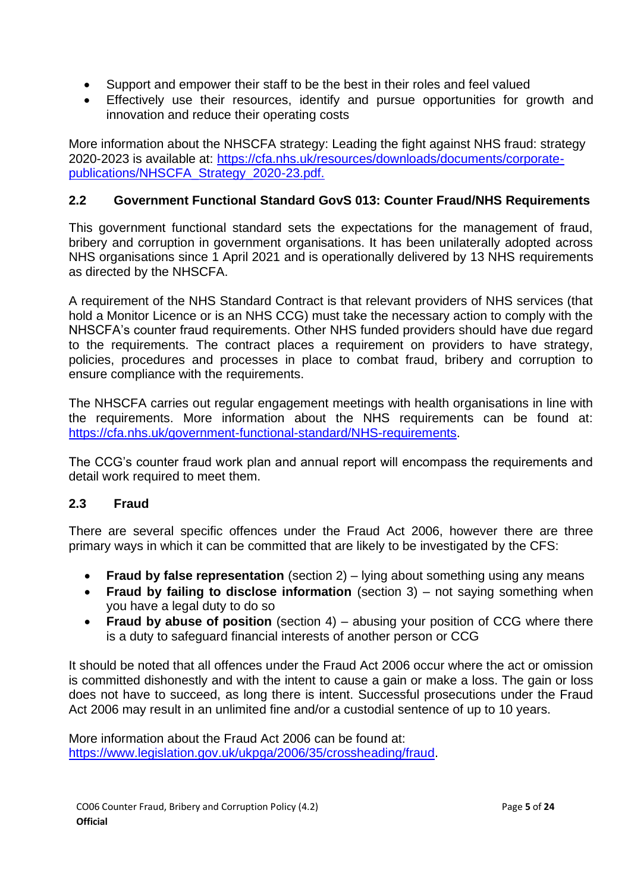- Support and empower their staff to be the best in their roles and feel valued
- Effectively use their resources, identify and pursue opportunities for growth and innovation and reduce their operating costs

More information about the NHSCFA strategy: Leading the fight against NHS fraud: strategy 2020-2023 is available at: [https://cfa.nhs.uk/resources/downloads/documents/corporate](https://cfa.nhs.uk/resources/downloads/documents/corporate-publications/NHSCFA_Strategy_2020-23.pdf)[publications/NHSCFA\\_Strategy\\_2020-23.pdf.](https://cfa.nhs.uk/resources/downloads/documents/corporate-publications/NHSCFA_Strategy_2020-23.pdf)

### <span id="page-5-0"></span>**2.2 Government Functional Standard GovS 013: Counter Fraud/NHS Requirements**

This government functional standard sets the expectations for the management of fraud, bribery and corruption in government organisations. It has been unilaterally adopted across NHS organisations since 1 April 2021 and is operationally delivered by 13 NHS requirements as directed by the NHSCFA.

A requirement of the NHS Standard Contract is that relevant providers of NHS services (that hold a Monitor Licence or is an NHS CCG) must take the necessary action to comply with the NHSCFA's counter fraud requirements. Other NHS funded providers should have due regard to the requirements. The contract places a requirement on providers to have strategy, policies, procedures and processes in place to combat fraud, bribery and corruption to ensure compliance with the requirements.

The NHSCFA carries out regular engagement meetings with health organisations in line with the requirements. More information about the NHS requirements can be found at: [https://cfa.nhs.uk/government-functional-standard/NHS-requirements.](https://cfa.nhs.uk/government-functional-standard/NHS-requirements)

The CCG's counter fraud work plan and annual report will encompass the requirements and detail work required to meet them.

#### <span id="page-5-1"></span>**2.3 Fraud**

There are several specific offences under the Fraud Act 2006, however there are three primary ways in which it can be committed that are likely to be investigated by the CFS:

- **Fraud by false representation** (section 2) lying about something using any means
- **Fraud by failing to disclose information** (section 3) not saying something when you have a legal duty to do so
- **Fraud by abuse of position** (section 4) abusing your position of CCG where there is a duty to safeguard financial interests of another person or CCG

It should be noted that all offences under the Fraud Act 2006 occur where the act or omission is committed dishonestly and with the intent to cause a gain or make a loss. The gain or loss does not have to succeed, as long there is intent. Successful prosecutions under the Fraud Act 2006 may result in an unlimited fine and/or a custodial sentence of up to 10 years.

More information about the Fraud Act 2006 can be found at: [https://www.legislation.gov.uk/ukpga/2006/35/crossheading/fraud.](https://www.legislation.gov.uk/ukpga/2006/35/crossheading/fraud)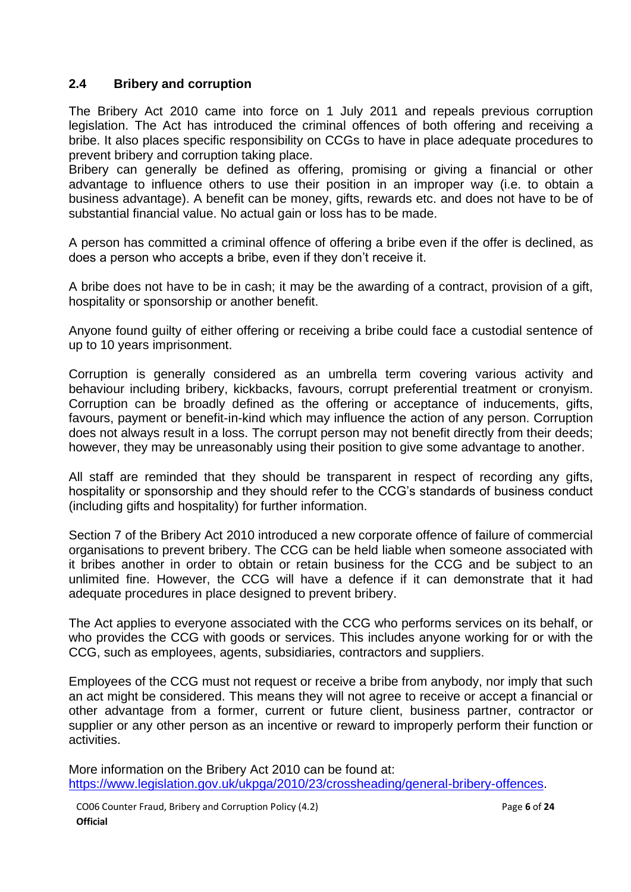#### <span id="page-6-0"></span>**2.4 Bribery and corruption**

The Bribery Act 2010 came into force on 1 July 2011 and repeals previous corruption legislation. The Act has introduced the criminal offences of both offering and receiving a bribe. It also places specific responsibility on CCGs to have in place adequate procedures to prevent bribery and corruption taking place.

Bribery can generally be defined as offering, promising or giving a financial or other advantage to influence others to use their position in an improper way (i.e. to obtain a business advantage). A benefit can be money, gifts, rewards etc. and does not have to be of substantial financial value. No actual gain or loss has to be made.

A person has committed a criminal offence of offering a bribe even if the offer is declined, as does a person who accepts a bribe, even if they don't receive it.

A bribe does not have to be in cash; it may be the awarding of a contract, provision of a gift, hospitality or sponsorship or another benefit.

Anyone found guilty of either offering or receiving a bribe could face a custodial sentence of up to 10 years imprisonment.

Corruption is generally considered as an umbrella term covering various activity and behaviour including bribery, kickbacks, favours, corrupt preferential treatment or cronyism. Corruption can be broadly defined as the offering or acceptance of inducements, gifts, favours, payment or benefit-in-kind which may influence the action of any person. Corruption does not always result in a loss. The corrupt person may not benefit directly from their deeds; however, they may be unreasonably using their position to give some advantage to another.

All staff are reminded that they should be transparent in respect of recording any gifts, hospitality or sponsorship and they should refer to the CCG's standards of business conduct (including gifts and hospitality) for further information.

Section 7 of the Bribery Act 2010 introduced a new corporate offence of failure of commercial organisations to prevent bribery. The CCG can be held liable when someone associated with it bribes another in order to obtain or retain business for the CCG and be subject to an unlimited fine. However, the CCG will have a defence if it can demonstrate that it had adequate procedures in place designed to prevent bribery.

The Act applies to everyone associated with the CCG who performs services on its behalf, or who provides the CCG with goods or services. This includes anyone working for or with the CCG, such as employees, agents, subsidiaries, contractors and suppliers.

Employees of the CCG must not request or receive a bribe from anybody, nor imply that such an act might be considered. This means they will not agree to receive or accept a financial or other advantage from a former, current or future client, business partner, contractor or supplier or any other person as an incentive or reward to improperly perform their function or activities.

More information on the Bribery Act 2010 can be found at: [https://www.legislation.gov.uk/ukpga/2010/23/crossheading/general-bribery-offences.](https://www.legislation.gov.uk/ukpga/2010/23/crossheading/general-bribery-offences)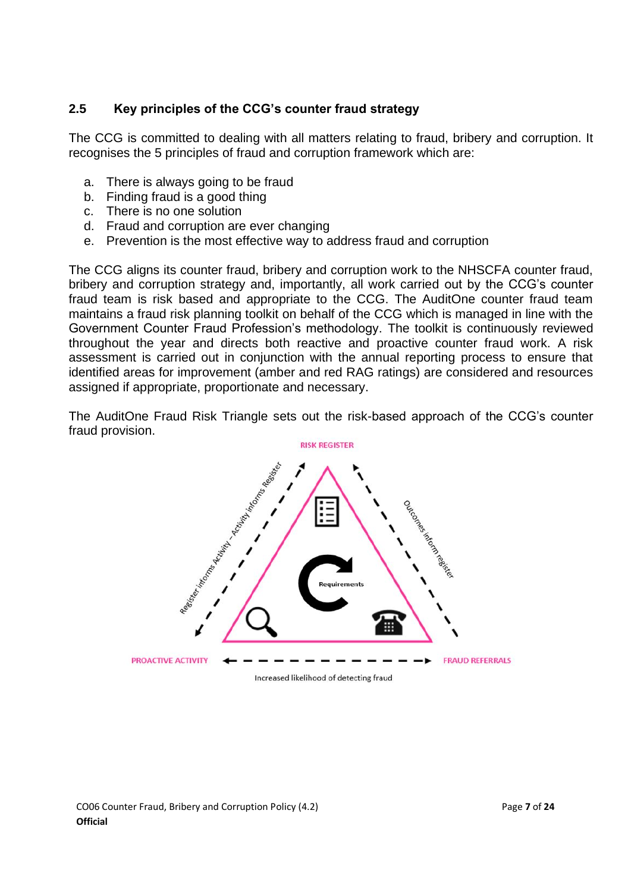### <span id="page-7-0"></span>**2.5 Key principles of the CCG's counter fraud strategy**

The CCG is committed to dealing with all matters relating to fraud, bribery and corruption. It recognises the 5 principles of fraud and corruption framework which are:

- a. There is always going to be fraud
- b. Finding fraud is a good thing
- c. There is no one solution
- d. Fraud and corruption are ever changing
- e. Prevention is the most effective way to address fraud and corruption

The CCG aligns its counter fraud, bribery and corruption work to the NHSCFA counter fraud, bribery and corruption strategy and, importantly, all work carried out by the CCG's counter fraud team is risk based and appropriate to the CCG. The AuditOne counter fraud team maintains a fraud risk planning toolkit on behalf of the CCG which is managed in line with the Government Counter Fraud Profession's methodology. The toolkit is continuously reviewed throughout the year and directs both reactive and proactive counter fraud work. A risk assessment is carried out in conjunction with the annual reporting process to ensure that identified areas for improvement (amber and red RAG ratings) are considered and resources assigned if appropriate, proportionate and necessary.

The AuditOne Fraud Risk Triangle sets out the risk-based approach of the CCG's counter fraud provision.



Increased likelihood of detecting fraud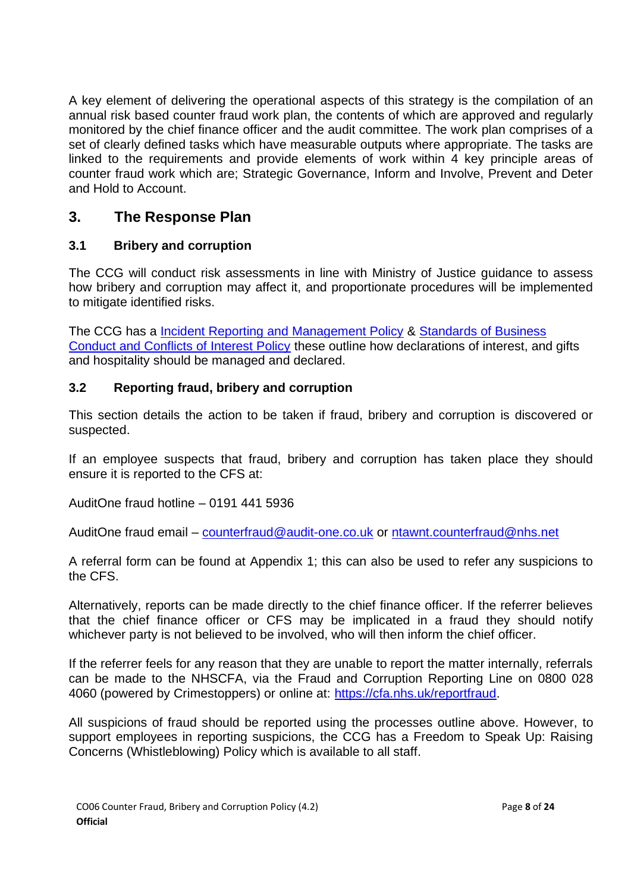A key element of delivering the operational aspects of this strategy is the compilation of an annual risk based counter fraud work plan, the contents of which are approved and regularly monitored by the chief finance officer and the audit committee. The work plan comprises of a set of clearly defined tasks which have measurable outputs where appropriate. The tasks are linked to the requirements and provide elements of work within 4 key principle areas of counter fraud work which are; Strategic Governance, Inform and Involve, Prevent and Deter and Hold to Account.

## <span id="page-8-0"></span>**3. The Response Plan**

#### <span id="page-8-1"></span>**3.1 Bribery and corruption**

The CCG will conduct risk assessments in line with Ministry of Justice guidance to assess how bribery and corruption may affect it, and proportionate procedures will be implemented to mitigate identified risks.

The CCG has a [Incident Reporting and Management Policy](https://www.southtynesideccg.nhs.uk/wp-content/uploads/2016/03/CO08-Incident-Reporting-and-Management-Policy-4.1.pdf) & [Standards of Business](https://www.southtynesideccg.nhs.uk/wp-content/uploads/2020/01/CO19-Standards-of-Business-Conduct-and-Declarations-of-Interest-Policy-8.1.pdf)  [Conduct and Conflicts of Interest Policy](https://www.southtynesideccg.nhs.uk/wp-content/uploads/2020/01/CO19-Standards-of-Business-Conduct-and-Declarations-of-Interest-Policy-8.1.pdf) these outline how declarations of interest, and gifts and hospitality should be managed and declared.

### <span id="page-8-2"></span>**3.2 Reporting fraud, bribery and corruption**

This section details the action to be taken if fraud, bribery and corruption is discovered or suspected.

If an employee suspects that fraud, bribery and corruption has taken place they should ensure it is reported to the CFS at:

AuditOne fraud hotline – 0191 441 5936

AuditOne fraud email – [counterfraud@audit-one.co.uk](mailto:counterfraud@audit-one.co.uk) or [ntawnt.counterfraud@nhs.net](mailto:ntawnt.counterfraud@nhs.net)

A referral form can be found at Appendix 1; this can also be used to refer any suspicions to the CFS.

Alternatively, reports can be made directly to the chief finance officer. If the referrer believes that the chief finance officer or CFS may be implicated in a fraud they should notify whichever party is not believed to be involved, who will then inform the chief officer.

If the referrer feels for any reason that they are unable to report the matter internally, referrals can be made to the NHSCFA, via the Fraud and Corruption Reporting Line on 0800 028 4060 (powered by Crimestoppers) or online at: [https://cfa.nhs.uk/reportfraud.](https://cfa.nhs.uk/reportfraud)

All suspicions of fraud should be reported using the processes outline above. However, to support employees in reporting suspicions, the CCG has a Freedom to Speak Up: Raising Concerns (Whistleblowing) Policy which is available to all staff.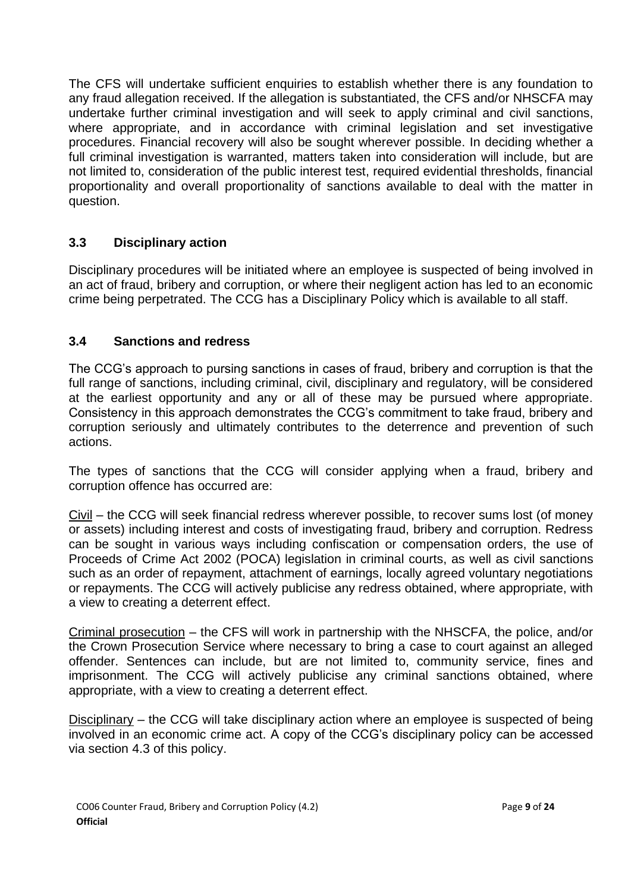The CFS will undertake sufficient enquiries to establish whether there is any foundation to any fraud allegation received. If the allegation is substantiated, the CFS and/or NHSCFA may undertake further criminal investigation and will seek to apply criminal and civil sanctions, where appropriate, and in accordance with criminal legislation and set investigative procedures. Financial recovery will also be sought wherever possible. In deciding whether a full criminal investigation is warranted, matters taken into consideration will include, but are not limited to, consideration of the public interest test, required evidential thresholds, financial proportionality and overall proportionality of sanctions available to deal with the matter in question.

### <span id="page-9-0"></span>**3.3 Disciplinary action**

Disciplinary procedures will be initiated where an employee is suspected of being involved in an act of fraud, bribery and corruption, or where their negligent action has led to an economic crime being perpetrated. The CCG has a Disciplinary Policy which is available to all staff.

#### <span id="page-9-1"></span>**3.4 Sanctions and redress**

The CCG's approach to pursing sanctions in cases of fraud, bribery and corruption is that the full range of sanctions, including criminal, civil, disciplinary and regulatory, will be considered at the earliest opportunity and any or all of these may be pursued where appropriate. Consistency in this approach demonstrates the CCG's commitment to take fraud, bribery and corruption seriously and ultimately contributes to the deterrence and prevention of such actions.

The types of sanctions that the CCG will consider applying when a fraud, bribery and corruption offence has occurred are:

Civil – the CCG will seek financial redress wherever possible, to recover sums lost (of money or assets) including interest and costs of investigating fraud, bribery and corruption. Redress can be sought in various ways including confiscation or compensation orders, the use of Proceeds of Crime Act 2002 (POCA) legislation in criminal courts, as well as civil sanctions such as an order of repayment, attachment of earnings, locally agreed voluntary negotiations or repayments. The CCG will actively publicise any redress obtained, where appropriate, with a view to creating a deterrent effect.

Criminal prosecution – the CFS will work in partnership with the NHSCFA, the police, and/or the Crown Prosecution Service where necessary to bring a case to court against an alleged offender. Sentences can include, but are not limited to, community service, fines and imprisonment. The CCG will actively publicise any criminal sanctions obtained, where appropriate, with a view to creating a deterrent effect.

Disciplinary – the CCG will take disciplinary action where an employee is suspected of being involved in an economic crime act. A copy of the CCG's disciplinary policy can be accessed via section 4.3 of this policy.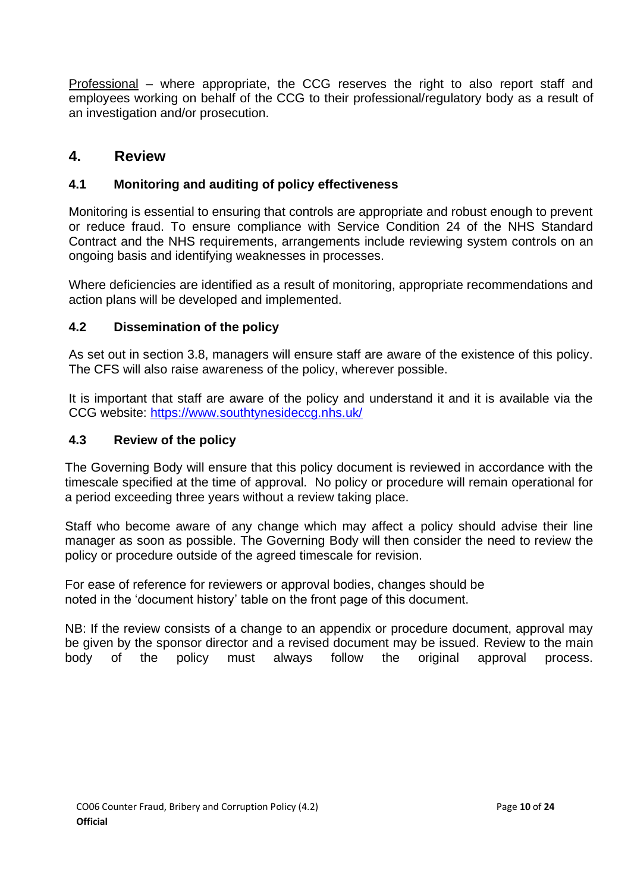Professional – where appropriate, the CCG reserves the right to also report staff and employees working on behalf of the CCG to their professional/regulatory body as a result of an investigation and/or prosecution.

## <span id="page-10-0"></span>**4. Review**

### <span id="page-10-1"></span>**4.1 Monitoring and auditing of policy effectiveness**

Monitoring is essential to ensuring that controls are appropriate and robust enough to prevent or reduce fraud. To ensure compliance with Service Condition 24 of the NHS Standard Contract and the NHS requirements, arrangements include reviewing system controls on an ongoing basis and identifying weaknesses in processes.

Where deficiencies are identified as a result of monitoring, appropriate recommendations and action plans will be developed and implemented.

#### <span id="page-10-2"></span>**4.2 Dissemination of the policy**

As set out in section 3.8, managers will ensure staff are aware of the existence of this policy. The CFS will also raise awareness of the policy, wherever possible.

It is important that staff are aware of the policy and understand it and it is available via the CCG website: <https://www.southtynesideccg.nhs.uk/>

#### <span id="page-10-3"></span>**4.3 Review of the policy**

The Governing Body will ensure that this policy document is reviewed in accordance with the timescale specified at the time of approval. No policy or procedure will remain operational for a period exceeding three years without a review taking place.

Staff who become aware of any change which may affect a policy should advise their line manager as soon as possible. The Governing Body will then consider the need to review the policy or procedure outside of the agreed timescale for revision.

For ease of reference for reviewers or approval bodies, changes should be noted in the 'document history' table on the front page of this document.

NB: If the review consists of a change to an appendix or procedure document, approval may be given by the sponsor director and a revised document may be issued. Review to the main body of the policy must always follow the original approval process.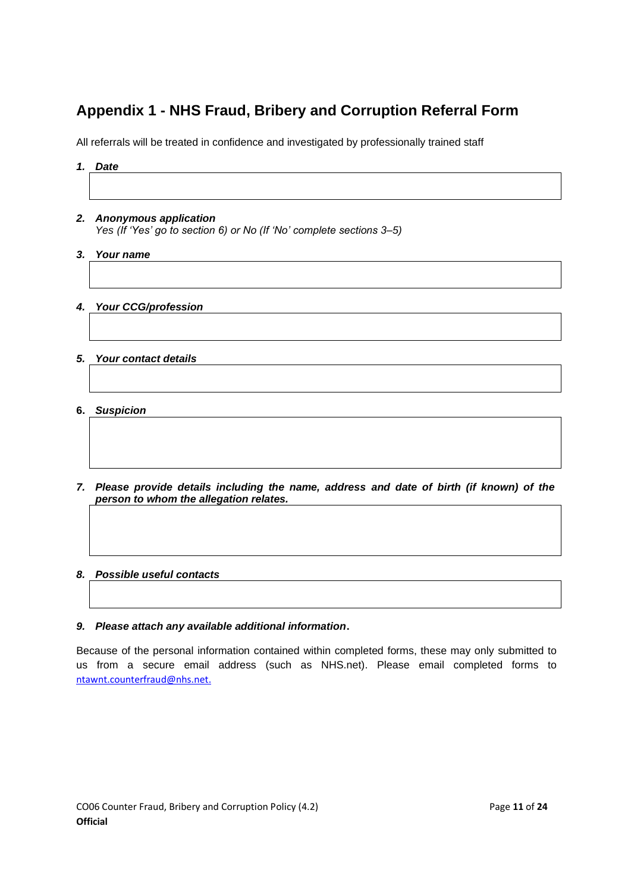# <span id="page-11-0"></span>**Appendix 1 - NHS Fraud, Bribery and Corruption Referral Form**

All referrals will be treated in confidence and investigated by professionally trained staff

| 1. | <b>Date</b>                                                          |  |  |
|----|----------------------------------------------------------------------|--|--|
|    |                                                                      |  |  |
|    |                                                                      |  |  |
|    | 2. Anonymous application                                             |  |  |
|    | Yes (If 'Yes' go to section 6) or No (If 'No' complete sections 3-5) |  |  |
| 3. | Your name                                                            |  |  |
|    |                                                                      |  |  |
|    |                                                                      |  |  |
|    | 4. Your CCG/profession                                               |  |  |
|    |                                                                      |  |  |
|    |                                                                      |  |  |
|    | 5. Your contact details                                              |  |  |
|    |                                                                      |  |  |
|    |                                                                      |  |  |
| 6. | <b>Suspicion</b>                                                     |  |  |

*7. Please provide details including the name, address and date of birth (if known) of the person to whom the allegation relates.*

#### *8. Possible useful contacts*

#### *9. Please attach any available additional information***.**

Because of the personal information contained within completed forms, these may only submitted to us from a secure email address (such as NHS.net). Please email completed forms to [ntawnt.counterfraud@nhs.net.](mailto:ntawnt.counterfraud@nhs.net)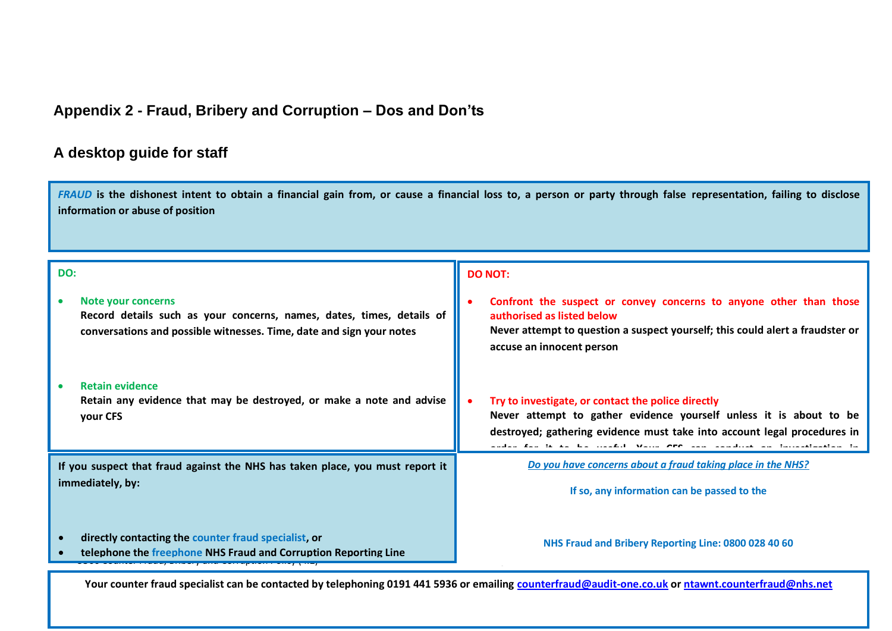# **Appendix 2 - Fraud, Bribery and Corruption – Dos and Don'ts**

## **A desktop guide for staff**

*FRAUD* **is the dishonest intent to obtain a financial gain from, or cause a financial loss to, a person or party through false representation, failing to disclose information or abuse of position**

<span id="page-12-0"></span>

| DO:                                                                                                                                                                 | <b>DO NOT:</b>                                                                                                                                                                                                                         |  |
|---------------------------------------------------------------------------------------------------------------------------------------------------------------------|----------------------------------------------------------------------------------------------------------------------------------------------------------------------------------------------------------------------------------------|--|
| Note your concerns<br>Record details such as your concerns, names, dates, times, details of<br>conversations and possible witnesses. Time, date and sign your notes | Confront the suspect or convey concerns to anyone other than those<br>authorised as listed below<br>Never attempt to question a suspect yourself; this could alert a fraudster or<br>accuse an innocent person                         |  |
| <b>Retain evidence</b><br>Retain any evidence that may be destroyed, or make a note and advise<br>your CFS                                                          | Try to investigate, or contact the police directly<br>Never attempt to gather evidence yourself unless it is about to be<br>destroyed; gathering evidence must take into account legal procedures in<br>to as his month. Wann are some |  |
| If you suspect that fraud against the NHS has taken place, you must report it                                                                                       | Do you have concerns about a fraud taking place in the NHS?                                                                                                                                                                            |  |
| immediately, by:                                                                                                                                                    | If so, any information can be passed to the                                                                                                                                                                                            |  |
| directly contacting the counter fraud specialist, or<br>$\bullet$<br>telephone the freephone NHS Fraud and Corruption Reporting Line                                | NHS Fraud and Bribery Reporting Line: 0800 028 40 60                                                                                                                                                                                   |  |
| Your counter fraud specialist can be contacted by telephoning 0191 441 5936 or emailing counterfraud@audit-one.co.uk or ntawnt.counterfraud@nhs.net                 |                                                                                                                                                                                                                                        |  |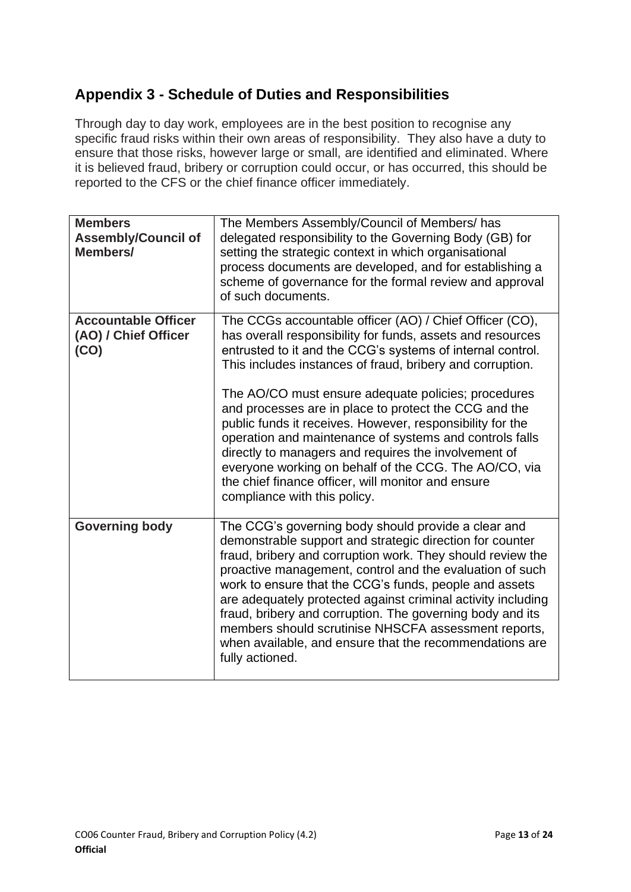## <span id="page-13-0"></span>**Appendix 3 - Schedule of Duties and Responsibilities**

Through day to day work, employees are in the best position to recognise any specific fraud risks within their own areas of responsibility. They also have a duty to ensure that those risks, however large or small, are identified and eliminated. Where it is believed fraud, bribery or corruption could occur, or has occurred, this should be reported to the CFS or the chief finance officer immediately.

| <b>Members</b><br><b>Assembly/Council of</b><br>Members/   | The Members Assembly/Council of Members/ has<br>delegated responsibility to the Governing Body (GB) for<br>setting the strategic context in which organisational<br>process documents are developed, and for establishing a<br>scheme of governance for the formal review and approval<br>of such documents.                                                                                                                                                                                                                                                                                                                                                                                    |
|------------------------------------------------------------|-------------------------------------------------------------------------------------------------------------------------------------------------------------------------------------------------------------------------------------------------------------------------------------------------------------------------------------------------------------------------------------------------------------------------------------------------------------------------------------------------------------------------------------------------------------------------------------------------------------------------------------------------------------------------------------------------|
| <b>Accountable Officer</b><br>(AO) / Chief Officer<br>(CO) | The CCGs accountable officer (AO) / Chief Officer (CO),<br>has overall responsibility for funds, assets and resources<br>entrusted to it and the CCG's systems of internal control.<br>This includes instances of fraud, bribery and corruption.<br>The AO/CO must ensure adequate policies; procedures<br>and processes are in place to protect the CCG and the<br>public funds it receives. However, responsibility for the<br>operation and maintenance of systems and controls falls<br>directly to managers and requires the involvement of<br>everyone working on behalf of the CCG. The AO/CO, via<br>the chief finance officer, will monitor and ensure<br>compliance with this policy. |
| <b>Governing body</b>                                      | The CCG's governing body should provide a clear and<br>demonstrable support and strategic direction for counter<br>fraud, bribery and corruption work. They should review the<br>proactive management, control and the evaluation of such<br>work to ensure that the CCG's funds, people and assets<br>are adequately protected against criminal activity including<br>fraud, bribery and corruption. The governing body and its<br>members should scrutinise NHSCFA assessment reports,<br>when available, and ensure that the recommendations are<br>fully actioned.                                                                                                                          |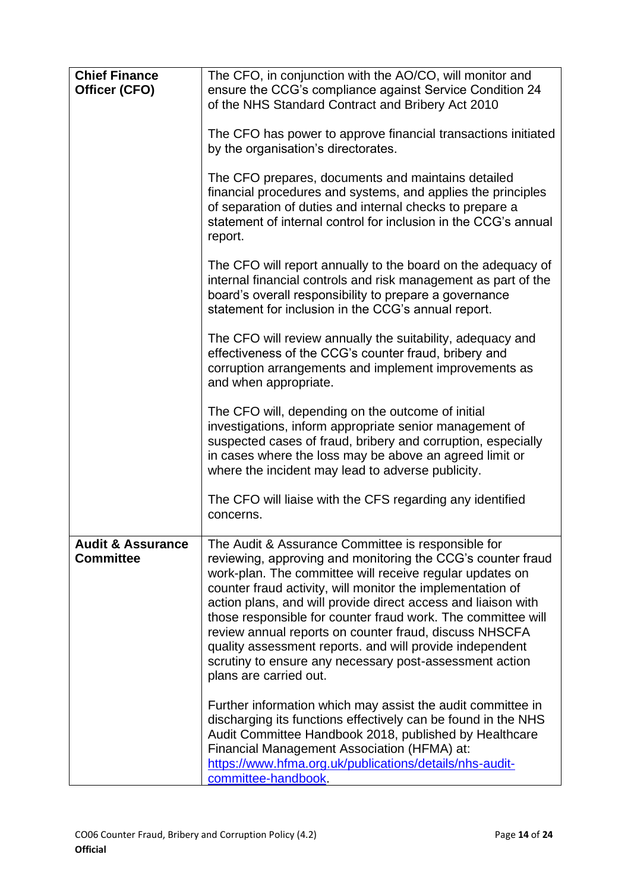| <b>Chief Finance</b><br>Officer (CFO)            | The CFO, in conjunction with the AO/CO, will monitor and<br>ensure the CCG's compliance against Service Condition 24                                                                                                                                                                                                                                                                                                                                                                                                                                                                    |
|--------------------------------------------------|-----------------------------------------------------------------------------------------------------------------------------------------------------------------------------------------------------------------------------------------------------------------------------------------------------------------------------------------------------------------------------------------------------------------------------------------------------------------------------------------------------------------------------------------------------------------------------------------|
|                                                  | of the NHS Standard Contract and Bribery Act 2010                                                                                                                                                                                                                                                                                                                                                                                                                                                                                                                                       |
|                                                  | The CFO has power to approve financial transactions initiated<br>by the organisation's directorates.                                                                                                                                                                                                                                                                                                                                                                                                                                                                                    |
|                                                  | The CFO prepares, documents and maintains detailed<br>financial procedures and systems, and applies the principles<br>of separation of duties and internal checks to prepare a<br>statement of internal control for inclusion in the CCG's annual<br>report.                                                                                                                                                                                                                                                                                                                            |
|                                                  | The CFO will report annually to the board on the adequacy of<br>internal financial controls and risk management as part of the<br>board's overall responsibility to prepare a governance<br>statement for inclusion in the CCG's annual report.                                                                                                                                                                                                                                                                                                                                         |
|                                                  | The CFO will review annually the suitability, adequacy and<br>effectiveness of the CCG's counter fraud, bribery and<br>corruption arrangements and implement improvements as<br>and when appropriate.                                                                                                                                                                                                                                                                                                                                                                                   |
|                                                  | The CFO will, depending on the outcome of initial<br>investigations, inform appropriate senior management of<br>suspected cases of fraud, bribery and corruption, especially<br>in cases where the loss may be above an agreed limit or<br>where the incident may lead to adverse publicity.                                                                                                                                                                                                                                                                                            |
|                                                  | The CFO will liaise with the CFS regarding any identified<br>concerns.                                                                                                                                                                                                                                                                                                                                                                                                                                                                                                                  |
| <b>Audit &amp; Assurance</b><br><b>Committee</b> | The Audit & Assurance Committee is responsible for<br>reviewing, approving and monitoring the CCG's counter fraud<br>work-plan. The committee will receive regular updates on<br>counter fraud activity, will monitor the implementation of<br>action plans, and will provide direct access and liaison with<br>those responsible for counter fraud work. The committee will<br>review annual reports on counter fraud, discuss NHSCFA<br>quality assessment reports. and will provide independent<br>scrutiny to ensure any necessary post-assessment action<br>plans are carried out. |
|                                                  | Further information which may assist the audit committee in<br>discharging its functions effectively can be found in the NHS<br>Audit Committee Handbook 2018, published by Healthcare<br>Financial Management Association (HFMA) at:<br>https://www.hfma.org.uk/publications/details/nhs-audit-<br>committee-handbook.                                                                                                                                                                                                                                                                 |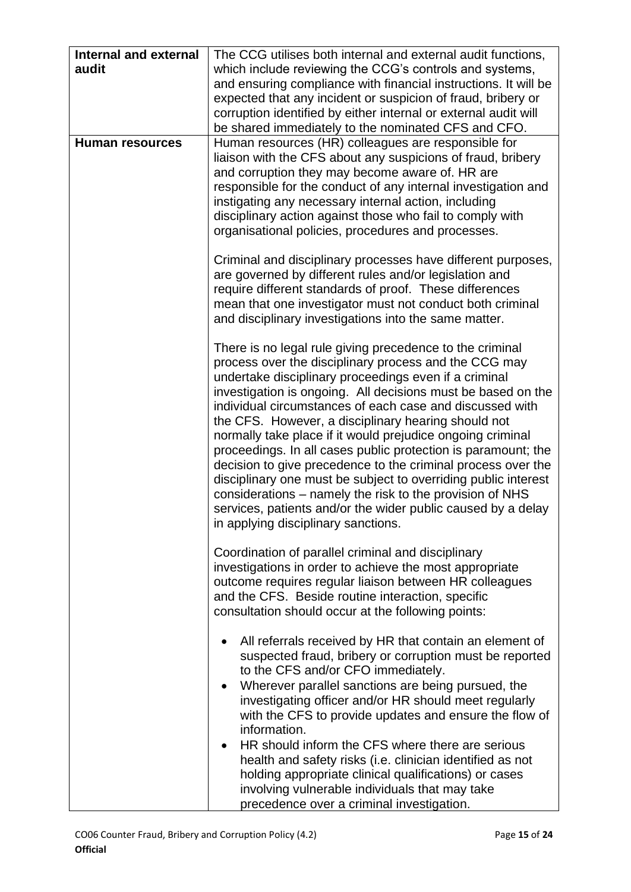| <b>Internal and external</b> | The CCG utilises both internal and external audit functions,                                                                |
|------------------------------|-----------------------------------------------------------------------------------------------------------------------------|
| audit                        | which include reviewing the CCG's controls and systems,<br>and ensuring compliance with financial instructions. It will be  |
|                              | expected that any incident or suspicion of fraud, bribery or                                                                |
|                              | corruption identified by either internal or external audit will                                                             |
|                              | be shared immediately to the nominated CFS and CFO.                                                                         |
| <b>Human resources</b>       | Human resources (HR) colleagues are responsible for<br>liaison with the CFS about any suspicions of fraud, bribery          |
|                              | and corruption they may become aware of. HR are                                                                             |
|                              | responsible for the conduct of any internal investigation and                                                               |
|                              | instigating any necessary internal action, including                                                                        |
|                              | disciplinary action against those who fail to comply with<br>organisational policies, procedures and processes.             |
|                              |                                                                                                                             |
|                              | Criminal and disciplinary processes have different purposes,                                                                |
|                              | are governed by different rules and/or legislation and                                                                      |
|                              | require different standards of proof. These differences                                                                     |
|                              | mean that one investigator must not conduct both criminal<br>and disciplinary investigations into the same matter.          |
|                              |                                                                                                                             |
|                              | There is no legal rule giving precedence to the criminal                                                                    |
|                              | process over the disciplinary process and the CCG may<br>undertake disciplinary proceedings even if a criminal              |
|                              | investigation is ongoing. All decisions must be based on the                                                                |
|                              | individual circumstances of each case and discussed with                                                                    |
|                              | the CFS. However, a disciplinary hearing should not                                                                         |
|                              | normally take place if it would prejudice ongoing criminal<br>proceedings. In all cases public protection is paramount; the |
|                              | decision to give precedence to the criminal process over the                                                                |
|                              | disciplinary one must be subject to overriding public interest                                                              |
|                              | considerations - namely the risk to the provision of NHS                                                                    |
|                              | services, patients and/or the wider public caused by a delay                                                                |
|                              | in applying disciplinary sanctions.                                                                                         |
|                              | Coordination of parallel criminal and disciplinary                                                                          |
|                              | investigations in order to achieve the most appropriate                                                                     |
|                              | outcome requires regular liaison between HR colleagues                                                                      |
|                              | and the CFS. Beside routine interaction, specific<br>consultation should occur at the following points:                     |
|                              |                                                                                                                             |
|                              | All referrals received by HR that contain an element of                                                                     |
|                              | suspected fraud, bribery or corruption must be reported                                                                     |
|                              | to the CFS and/or CFO immediately.<br>Wherever parallel sanctions are being pursued, the                                    |
|                              | investigating officer and/or HR should meet regularly                                                                       |
|                              | with the CFS to provide updates and ensure the flow of                                                                      |
|                              | information.                                                                                                                |
|                              | HR should inform the CFS where there are serious<br>$\bullet$                                                               |
|                              | health and safety risks (i.e. clinician identified as not<br>holding appropriate clinical qualifications) or cases          |
|                              | involving vulnerable individuals that may take                                                                              |
|                              | precedence over a criminal investigation.                                                                                   |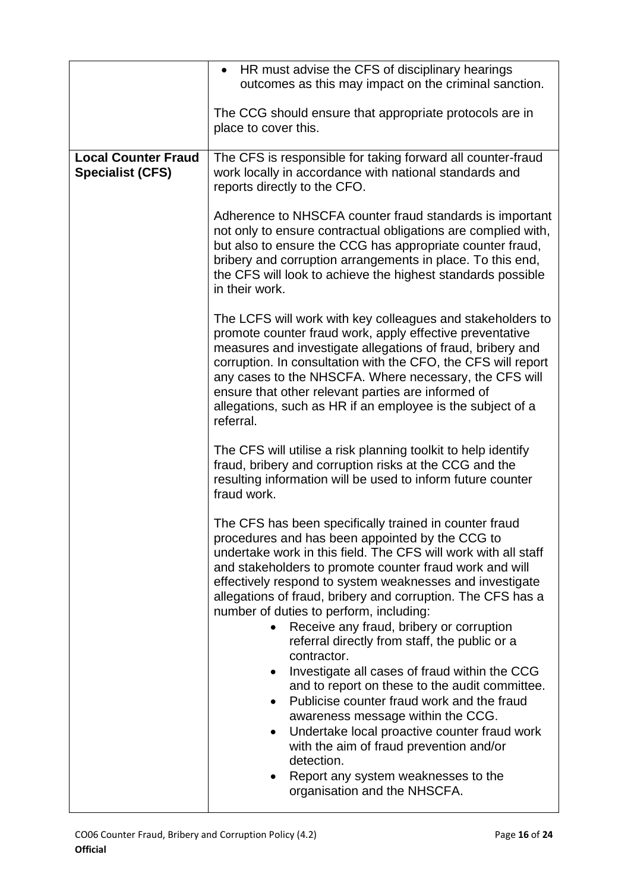|                                                       | HR must advise the CFS of disciplinary hearings<br>$\bullet$<br>outcomes as this may impact on the criminal sanction.                                                                                                                                                                                                                                                                                                                                                                                                                 |
|-------------------------------------------------------|---------------------------------------------------------------------------------------------------------------------------------------------------------------------------------------------------------------------------------------------------------------------------------------------------------------------------------------------------------------------------------------------------------------------------------------------------------------------------------------------------------------------------------------|
|                                                       |                                                                                                                                                                                                                                                                                                                                                                                                                                                                                                                                       |
|                                                       | The CCG should ensure that appropriate protocols are in<br>place to cover this.                                                                                                                                                                                                                                                                                                                                                                                                                                                       |
| <b>Local Counter Fraud</b><br><b>Specialist (CFS)</b> | The CFS is responsible for taking forward all counter-fraud<br>work locally in accordance with national standards and<br>reports directly to the CFO.                                                                                                                                                                                                                                                                                                                                                                                 |
|                                                       | Adherence to NHSCFA counter fraud standards is important<br>not only to ensure contractual obligations are complied with,<br>but also to ensure the CCG has appropriate counter fraud,<br>bribery and corruption arrangements in place. To this end,<br>the CFS will look to achieve the highest standards possible<br>in their work.                                                                                                                                                                                                 |
|                                                       | The LCFS will work with key colleagues and stakeholders to<br>promote counter fraud work, apply effective preventative<br>measures and investigate allegations of fraud, bribery and<br>corruption. In consultation with the CFO, the CFS will report<br>any cases to the NHSCFA. Where necessary, the CFS will<br>ensure that other relevant parties are informed of<br>allegations, such as HR if an employee is the subject of a<br>referral.                                                                                      |
|                                                       | The CFS will utilise a risk planning toolkit to help identify<br>fraud, bribery and corruption risks at the CCG and the<br>resulting information will be used to inform future counter<br>fraud work.                                                                                                                                                                                                                                                                                                                                 |
|                                                       | The CFS has been specifically trained in counter fraud<br>procedures and has been appointed by the CCG to<br>undertake work in this field. The CFS will work with all staff<br>and stakeholders to promote counter fraud work and will<br>effectively respond to system weaknesses and investigate<br>allegations of fraud, bribery and corruption. The CFS has a<br>number of duties to perform, including:<br>Receive any fraud, bribery or corruption<br>$\bullet$<br>referral directly from staff, the public or a<br>contractor. |
|                                                       | Investigate all cases of fraud within the CCG<br>$\bullet$<br>and to report on these to the audit committee.<br>Publicise counter fraud work and the fraud<br>awareness message within the CCG.<br>Undertake local proactive counter fraud work<br>٠<br>with the aim of fraud prevention and/or<br>detection.<br>Report any system weaknesses to the<br>organisation and the NHSCFA.                                                                                                                                                  |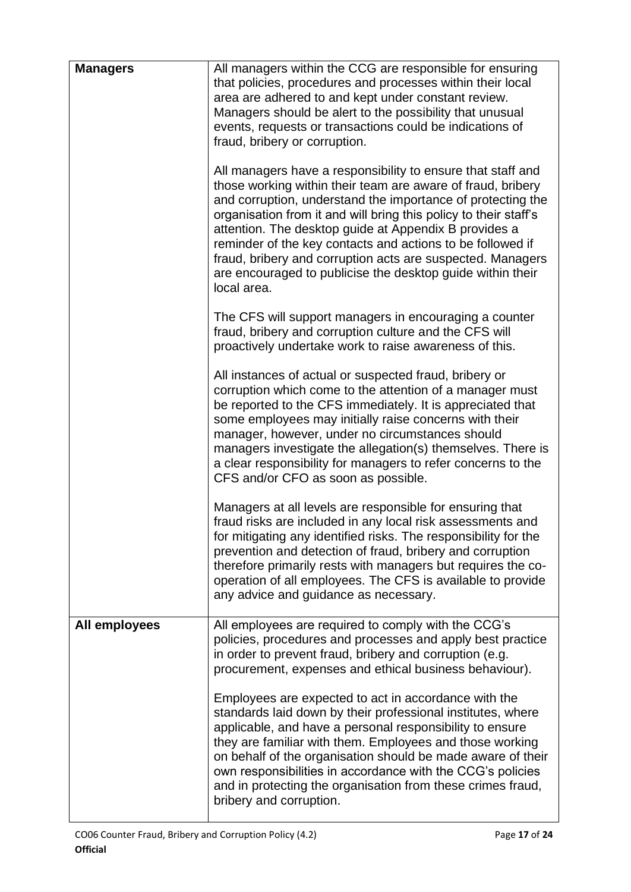| <b>Managers</b> | All managers within the CCG are responsible for ensuring<br>that policies, procedures and processes within their local<br>area are adhered to and kept under constant review.<br>Managers should be alert to the possibility that unusual<br>events, requests or transactions could be indications of<br>fraud, bribery or corruption.<br>All managers have a responsibility to ensure that staff and<br>those working within their team are aware of fraud, bribery<br>and corruption, understand the importance of protecting the<br>organisation from it and will bring this policy to their staff's<br>attention. The desktop guide at Appendix B provides a<br>reminder of the key contacts and actions to be followed if<br>fraud, bribery and corruption acts are suspected. Managers<br>are encouraged to publicise the desktop guide within their<br>local area. |
|-----------------|---------------------------------------------------------------------------------------------------------------------------------------------------------------------------------------------------------------------------------------------------------------------------------------------------------------------------------------------------------------------------------------------------------------------------------------------------------------------------------------------------------------------------------------------------------------------------------------------------------------------------------------------------------------------------------------------------------------------------------------------------------------------------------------------------------------------------------------------------------------------------|
|                 | The CFS will support managers in encouraging a counter<br>fraud, bribery and corruption culture and the CFS will<br>proactively undertake work to raise awareness of this.                                                                                                                                                                                                                                                                                                                                                                                                                                                                                                                                                                                                                                                                                                |
|                 | All instances of actual or suspected fraud, bribery or<br>corruption which come to the attention of a manager must<br>be reported to the CFS immediately. It is appreciated that<br>some employees may initially raise concerns with their<br>manager, however, under no circumstances should<br>managers investigate the allegation(s) themselves. There is<br>a clear responsibility for managers to refer concerns to the<br>CFS and/or CFO as soon as possible.                                                                                                                                                                                                                                                                                                                                                                                                       |
|                 | Managers at all levels are responsible for ensuring that<br>fraud risks are included in any local risk assessments and<br>for mitigating any identified risks. The responsibility for the<br>prevention and detection of fraud, bribery and corruption<br>therefore primarily rests with managers but requires the co-<br>operation of all employees. The CFS is available to provide<br>any advice and guidance as necessary.                                                                                                                                                                                                                                                                                                                                                                                                                                            |
| All employees   | All employees are required to comply with the CCG's<br>policies, procedures and processes and apply best practice<br>in order to prevent fraud, bribery and corruption (e.g.<br>procurement, expenses and ethical business behaviour).                                                                                                                                                                                                                                                                                                                                                                                                                                                                                                                                                                                                                                    |
|                 | Employees are expected to act in accordance with the<br>standards laid down by their professional institutes, where<br>applicable, and have a personal responsibility to ensure<br>they are familiar with them. Employees and those working<br>on behalf of the organisation should be made aware of their<br>own responsibilities in accordance with the CCG's policies<br>and in protecting the organisation from these crimes fraud,<br>bribery and corruption.                                                                                                                                                                                                                                                                                                                                                                                                        |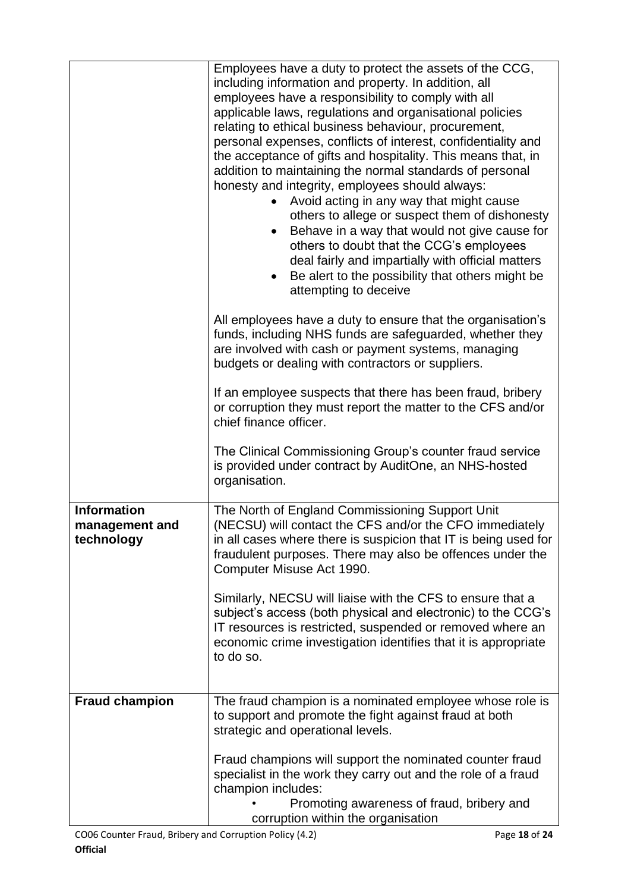|                                                    | Employees have a duty to protect the assets of the CCG,<br>including information and property. In addition, all<br>employees have a responsibility to comply with all<br>applicable laws, regulations and organisational policies<br>relating to ethical business behaviour, procurement,<br>personal expenses, conflicts of interest, confidentiality and<br>the acceptance of gifts and hospitality. This means that, in<br>addition to maintaining the normal standards of personal<br>honesty and integrity, employees should always:<br>Avoid acting in any way that might cause<br>others to allege or suspect them of dishonesty<br>Behave in a way that would not give cause for<br>others to doubt that the CCG's employees<br>deal fairly and impartially with official matters<br>Be alert to the possibility that others might be<br>attempting to deceive |
|----------------------------------------------------|------------------------------------------------------------------------------------------------------------------------------------------------------------------------------------------------------------------------------------------------------------------------------------------------------------------------------------------------------------------------------------------------------------------------------------------------------------------------------------------------------------------------------------------------------------------------------------------------------------------------------------------------------------------------------------------------------------------------------------------------------------------------------------------------------------------------------------------------------------------------|
|                                                    | All employees have a duty to ensure that the organisation's<br>funds, including NHS funds are safeguarded, whether they<br>are involved with cash or payment systems, managing<br>budgets or dealing with contractors or suppliers.                                                                                                                                                                                                                                                                                                                                                                                                                                                                                                                                                                                                                                    |
|                                                    | If an employee suspects that there has been fraud, bribery<br>or corruption they must report the matter to the CFS and/or<br>chief finance officer.                                                                                                                                                                                                                                                                                                                                                                                                                                                                                                                                                                                                                                                                                                                    |
|                                                    | The Clinical Commissioning Group's counter fraud service<br>is provided under contract by AuditOne, an NHS-hosted<br>organisation.                                                                                                                                                                                                                                                                                                                                                                                                                                                                                                                                                                                                                                                                                                                                     |
| <b>Information</b><br>management and<br>technology | The North of England Commissioning Support Unit<br>(NECSU) will contact the CFS and/or the CFO immediately<br>in all cases where there is suspicion that IT is being used for<br>fraudulent purposes. There may also be offences under the<br>Computer Misuse Act 1990.                                                                                                                                                                                                                                                                                                                                                                                                                                                                                                                                                                                                |
|                                                    | Similarly, NECSU will liaise with the CFS to ensure that a<br>subject's access (both physical and electronic) to the CCG's<br>IT resources is restricted, suspended or removed where an<br>economic crime investigation identifies that it is appropriate<br>to do so.                                                                                                                                                                                                                                                                                                                                                                                                                                                                                                                                                                                                 |
| <b>Fraud champion</b>                              | The fraud champion is a nominated employee whose role is<br>to support and promote the fight against fraud at both<br>strategic and operational levels.                                                                                                                                                                                                                                                                                                                                                                                                                                                                                                                                                                                                                                                                                                                |
|                                                    | Fraud champions will support the nominated counter fraud<br>specialist in the work they carry out and the role of a fraud<br>champion includes:<br>Promoting awareness of fraud, bribery and<br>corruption within the organisation                                                                                                                                                                                                                                                                                                                                                                                                                                                                                                                                                                                                                                     |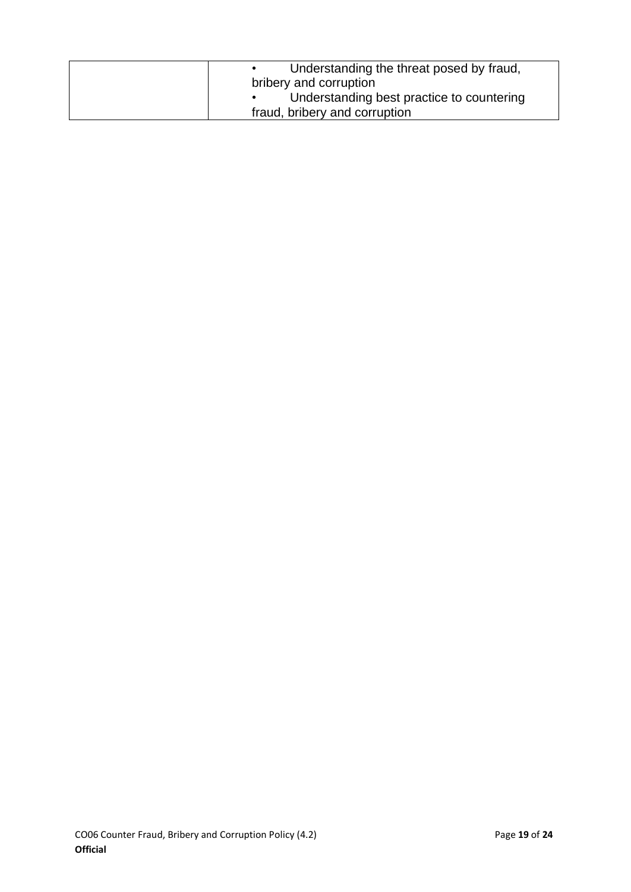| Understanding the threat posed by fraud,<br>bribery and corruption |
|--------------------------------------------------------------------|
| Understanding best practice to countering                          |
| fraud, bribery and corruption                                      |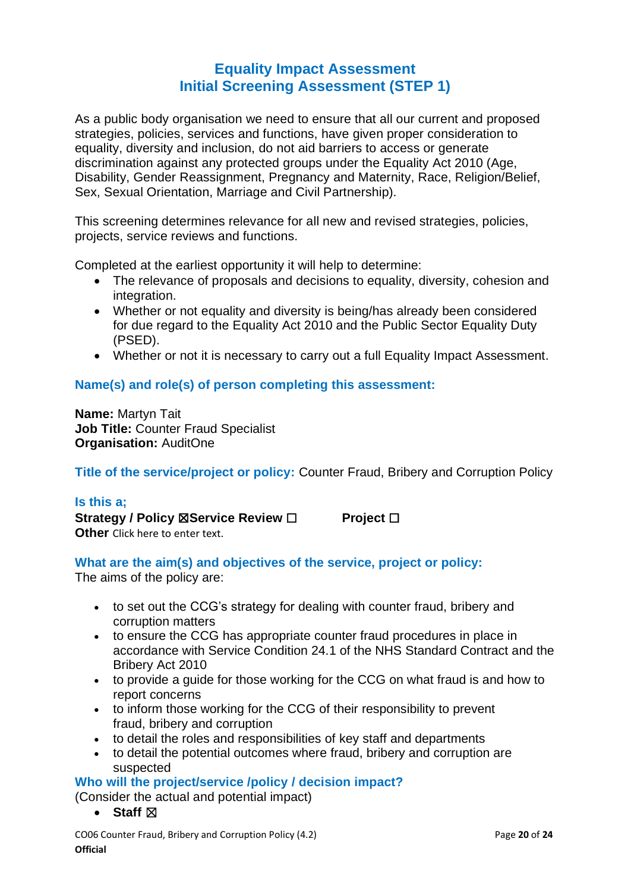## **Equality Impact Assessment Initial Screening Assessment (STEP 1)**

As a public body organisation we need to ensure that all our current and proposed strategies, policies, services and functions, have given proper consideration to equality, diversity and inclusion, do not aid barriers to access or generate discrimination against any protected groups under the Equality Act 2010 (Age, Disability, Gender Reassignment, Pregnancy and Maternity, Race, Religion/Belief, Sex, Sexual Orientation, Marriage and Civil Partnership).

This screening determines relevance for all new and revised strategies, policies, projects, service reviews and functions.

Completed at the earliest opportunity it will help to determine:

- The relevance of proposals and decisions to equality, diversity, cohesion and integration.
- Whether or not equality and diversity is being/has already been considered for due regard to the Equality Act 2010 and the Public Sector Equality Duty (PSED).
- Whether or not it is necessary to carry out a full Equality Impact Assessment.

### **Name(s) and role(s) of person completing this assessment:**

**Name:** Martyn Tait **Job Title:** Counter Fraud Specialist **Organisation:** AuditOne

**Title of the service/project or policy:** Counter Fraud, Bribery and Corruption Policy

#### **Is this a;**

**Strategy / Policy** ☒**Service Review** ☐ **Project** ☐ **Other** Click here to enter text.

#### **What are the aim(s) and objectives of the service, project or policy:**

The aims of the policy are:

- to set out the CCG's strategy for dealing with counter fraud, bribery and corruption matters
- to ensure the CCG has appropriate counter fraud procedures in place in accordance with Service Condition 24.1 of the NHS Standard Contract and the Bribery Act 2010
- to provide a guide for those working for the CCG on what fraud is and how to report concerns
- to inform those working for the CCG of their responsibility to prevent fraud, bribery and corruption
- to detail the roles and responsibilities of key staff and departments
- to detail the potential outcomes where fraud, bribery and corruption are suspected

**Who will the project/service /policy / decision impact?**

(Consider the actual and potential impact)

● **Staff**  $\boxtimes$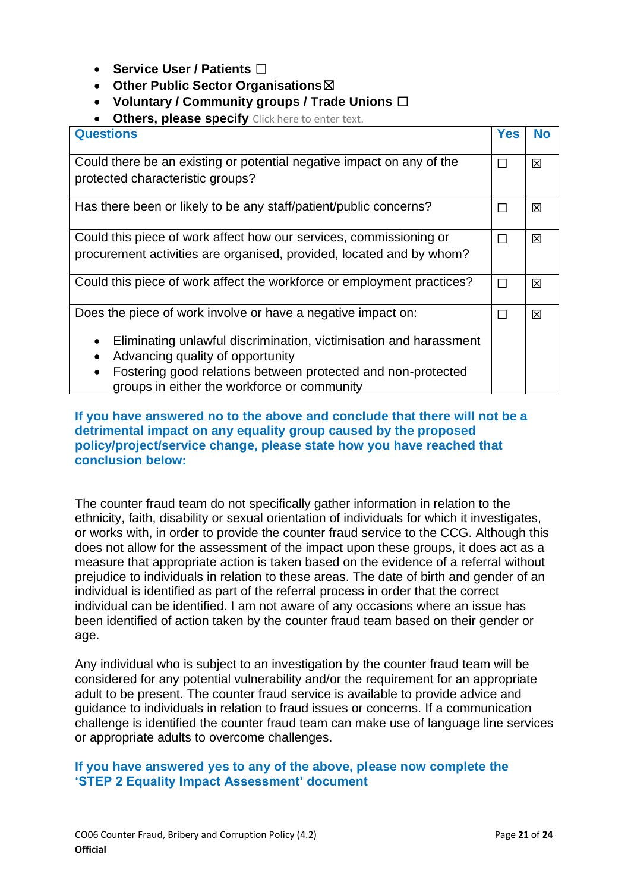- **Service User / Patients** ☐
- **Other Public Sector Organisations**☒
- **Voluntary / Community groups / Trade Unions** ☐
- **Others, please specify** Click here to enter text.

| <b>Yes</b> | No |
|------------|----|
| $\Box$     | 区  |
|            |    |
| $\Box$     | 区  |
| П          | 区  |
|            |    |
| $\Box$     | 区  |
| $\Box$     | 区  |
|            |    |
|            |    |
|            |    |
|            |    |

#### **If you have answered no to the above and conclude that there will not be a detrimental impact on any equality group caused by the proposed policy/project/service change, please state how you have reached that conclusion below:**

The counter fraud team do not specifically gather information in relation to the ethnicity, faith, disability or sexual orientation of individuals for which it investigates, or works with, in order to provide the counter fraud service to the CCG. Although this does not allow for the assessment of the impact upon these groups, it does act as a measure that appropriate action is taken based on the evidence of a referral without prejudice to individuals in relation to these areas. The date of birth and gender of an individual is identified as part of the referral process in order that the correct individual can be identified. I am not aware of any occasions where an issue has been identified of action taken by the counter fraud team based on their gender or age.

Any individual who is subject to an investigation by the counter fraud team will be considered for any potential vulnerability and/or the requirement for an appropriate adult to be present. The counter fraud service is available to provide advice and guidance to individuals in relation to fraud issues or concerns. If a communication challenge is identified the counter fraud team can make use of language line services or appropriate adults to overcome challenges.

#### **If you have answered yes to any of the above, please now complete the 'STEP 2 Equality Impact Assessment' document**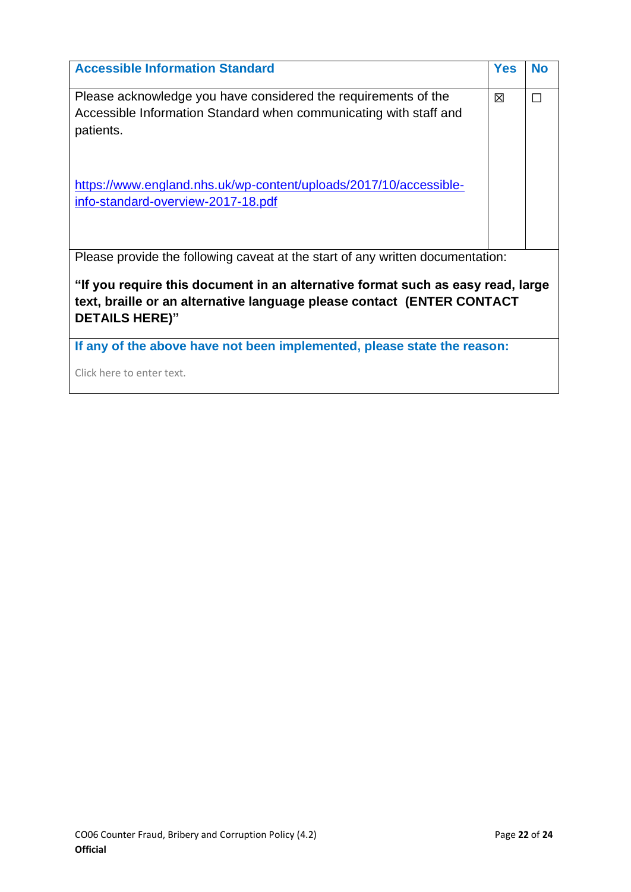| <b>Accessible Information Standard</b>                                          | <b>Yes</b> | <b>No</b> |  |  |
|---------------------------------------------------------------------------------|------------|-----------|--|--|
| Please acknowledge you have considered the requirements of the                  |            | П         |  |  |
| Accessible Information Standard when communicating with staff and               |            |           |  |  |
| patients.                                                                       |            |           |  |  |
|                                                                                 |            |           |  |  |
|                                                                                 |            |           |  |  |
| https://www.england.nhs.uk/wp-content/uploads/2017/10/accessible-               |            |           |  |  |
| info-standard-overview-2017-18.pdf                                              |            |           |  |  |
|                                                                                 |            |           |  |  |
|                                                                                 |            |           |  |  |
| Please provide the following caveat at the start of any written documentation:  |            |           |  |  |
| "If you require this document in an alternative format such as easy read, large |            |           |  |  |
| text, braille or an alternative language please contact (ENTER CONTACT          |            |           |  |  |
| <b>DETAILS HERE)"</b>                                                           |            |           |  |  |
|                                                                                 |            |           |  |  |
| If any of the above have not been implemented, please state the reason:         |            |           |  |  |

Click here to enter text.